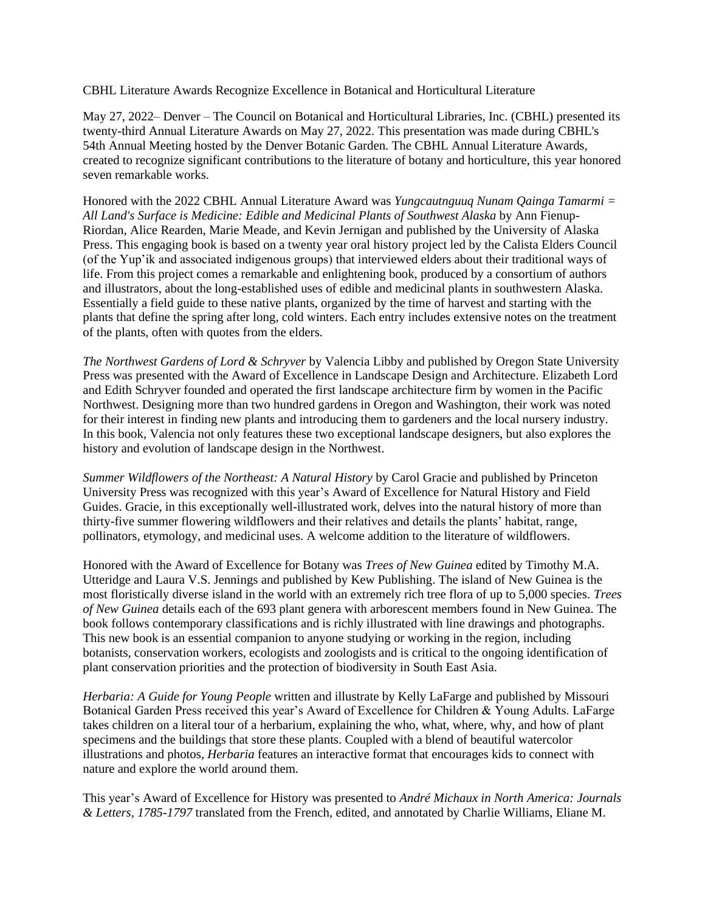CBHL Literature Awards Recognize Excellence in Botanical and Horticultural Literature

May 27, 2022– Denver – The Council on Botanical and Horticultural Libraries, Inc. (CBHL) presented its twenty-third Annual Literature Awards on May 27, 2022. This presentation was made during CBHL's 54th Annual Meeting hosted by the Denver Botanic Garden. The CBHL Annual Literature Awards, created to recognize significant contributions to the literature of botany and horticulture, this year honored seven remarkable works.

Honored with the 2022 CBHL Annual Literature Award was *Yungcautnguuq Nunam Qainga Tamarmi = All Land's Surface is Medicine: Edible and Medicinal Plants of Southwest Alaska* by Ann Fienup-Riordan, Alice Rearden, Marie Meade, and Kevin Jernigan and published by the University of Alaska Press. This engaging book is based on a twenty year oral history project led by the Calista Elders Council (of the Yup'ik and associated indigenous groups) that interviewed elders about their traditional ways of life. From this project comes a remarkable and enlightening book, produced by a consortium of authors and illustrators, about the long-established uses of edible and medicinal plants in southwestern Alaska. Essentially a field guide to these native plants, organized by the time of harvest and starting with the plants that define the spring after long, cold winters. Each entry includes extensive notes on the treatment of the plants, often with quotes from the elders.

*The Northwest Gardens of Lord & Schryver* by Valencia Libby and published by Oregon State University Press was presented with the Award of Excellence in Landscape Design and Architecture. Elizabeth Lord and Edith Schryver founded and operated the first landscape architecture firm by women in the Pacific Northwest. Designing more than two hundred gardens in Oregon and Washington, their work was noted for their interest in finding new plants and introducing them to gardeners and the local nursery industry. In this book, Valencia not only features these two exceptional landscape designers, but also explores the history and evolution of landscape design in the Northwest.

*Summer Wildflowers of the Northeast: A Natural History* by Carol Gracie and published by Princeton University Press was recognized with this year's Award of Excellence for Natural History and Field Guides. Gracie, in this exceptionally well-illustrated work, delves into the natural history of more than thirty-five summer flowering wildflowers and their relatives and details the plants' habitat, range, pollinators, etymology, and medicinal uses. A welcome addition to the literature of wildflowers.

Honored with the Award of Excellence for Botany was *Trees of New Guinea* edited by Timothy M.A. Utteridge and Laura V.S. Jennings and published by Kew Publishing. The island of New Guinea is the most floristically diverse island in the world with an extremely rich tree flora of up to 5,000 species. *Trees of New Guinea* details each of the 693 plant genera with arborescent members found in New Guinea. The book follows contemporary classifications and is richly illustrated with line drawings and photographs. This new book is an essential companion to anyone studying or working in the region, including botanists, conservation workers, ecologists and zoologists and is critical to the ongoing identification of plant conservation priorities and the protection of biodiversity in South East Asia.

*Herbaria: A Guide for Young People* written and illustrate by Kelly LaFarge and published by Missouri Botanical Garden Press received this year's Award of Excellence for Children & Young Adults. LaFarge takes children on a literal tour of a herbarium, explaining the who, what, where, why, and how of plant specimens and the buildings that store these plants. Coupled with a blend of beautiful watercolor illustrations and photos, *Herbaria* features an interactive format that encourages kids to connect with nature and explore the world around them.

This year's Award of Excellence for History was presented to *André Michaux in North America: Journals & Letters, 1785-1797* translated from the French, edited, and annotated by Charlie Williams, Eliane M.